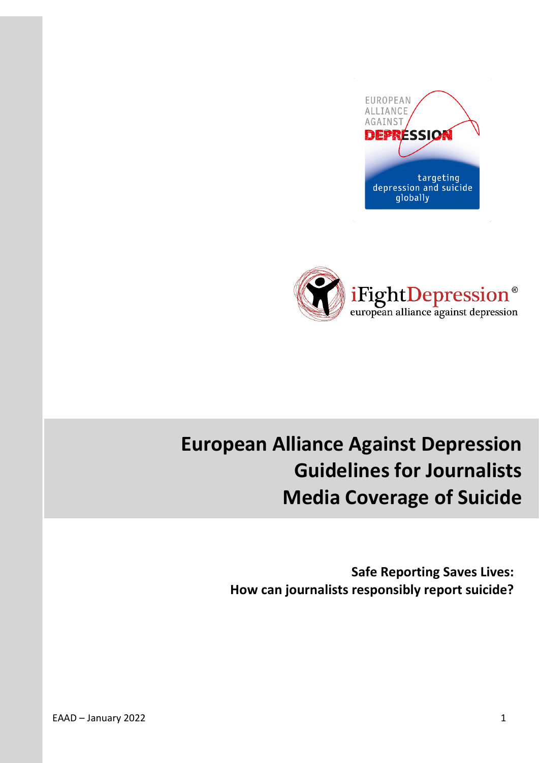



# **European Alliance Against Depression Guidelines for Journalists Media Coverage of Suicide**

**Safe Reporting Saves Lives: How can journalists responsibly report suicide?**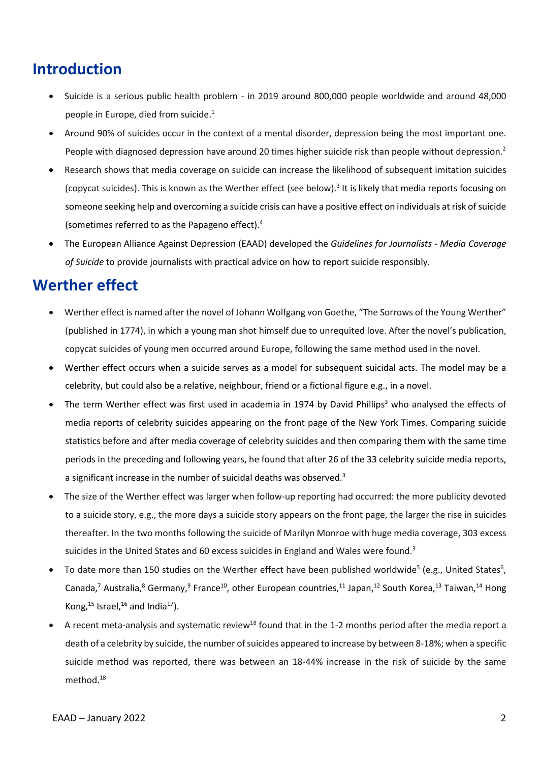### **Introduction**

- Suicide is a serious public health problem in 2019 around 800,000 people worldwide and around 48,000 people in Europe, died from suicide. 1
- Around 90% of suicides occur in the context of a mental disorder, depression being the most important one. People with diagnosed depression have around 20 times higher suicide risk than people without depression.<sup>2</sup>
- Research shows that media coverage on suicide can increase the likelihood of subsequent imitation suicides (copycat suicides). This is known as the Werther effect (see below). <sup>3</sup> It is likely that media reports focusing on someone seeking help and overcoming a suicide crisis can have a positive effect on individuals at risk of suicide (sometimes referred to as the Papageno effect). 4
- The European Alliance Against Depression (EAAD) developed the *Guidelines for Journalists - Media Coverage of Suicide* to provide journalists with practical advice on how to report suicide responsibly.

#### **Werther effect**

- Werther effect is named after the novel of Johann Wolfgang von Goethe, "The Sorrows of the Young Werther" (published in 1774), in which a young man shot himself due to unrequited love. After the novel's publication, copycat suicides of young men occurred around Europe, following the same method used in the novel.
- Werther effect occurs when a suicide serves as a model for subsequent suicidal acts. The model may be a celebrity, but could also be a relative, neighbour, friend or a fictional figure e.g., in a novel.
- The term Werther effect was first used in academia in 1974 by David Phillips<sup>3</sup> who analysed the effects of media reports of celebrity suicides appearing on the front page of the New York Times. Comparing suicide statistics before and after media coverage of celebrity suicides and then comparing them with the same time periods in the preceding and following years, he found that after 26 of the 33 celebrity suicide media reports, a significant increase in the number of suicidal deaths was observed.<sup>3</sup>
- The size of the Werther effect was larger when follow-up reporting had occurred: the more publicity devoted to a suicide story, e.g., the more days a suicide story appears on the front page, the larger the rise in suicides thereafter. In the two months following the suicide of Marilyn Monroe with huge media coverage, 303 excess suicides in the United States and 60 excess suicides in England and Wales were found.<sup>3</sup>
- To date more than 150 studies on the Werther effect have been published worldwide<sup>5</sup> (e.g., United States<sup>6</sup>, Canada,<sup>7</sup> Australia,<sup>8</sup> Germany,<sup>9</sup> France<sup>10</sup>, other European countries,<sup>11</sup> Japan,<sup>12</sup> South Korea,<sup>13</sup> Taiwan,<sup>14</sup> Hong Kong, $^{15}$  Israel, $^{16}$  and India $^{17}$ ).
- A recent meta-analysis and systematic review<sup>18</sup> found that in the 1-2 months period after the media report a death of a celebrity by suicide, the number of suicides appeared to increase by between 8-18%; when a specific suicide method was reported, there was between an 18-44% increase in the risk of suicide by the same method. 18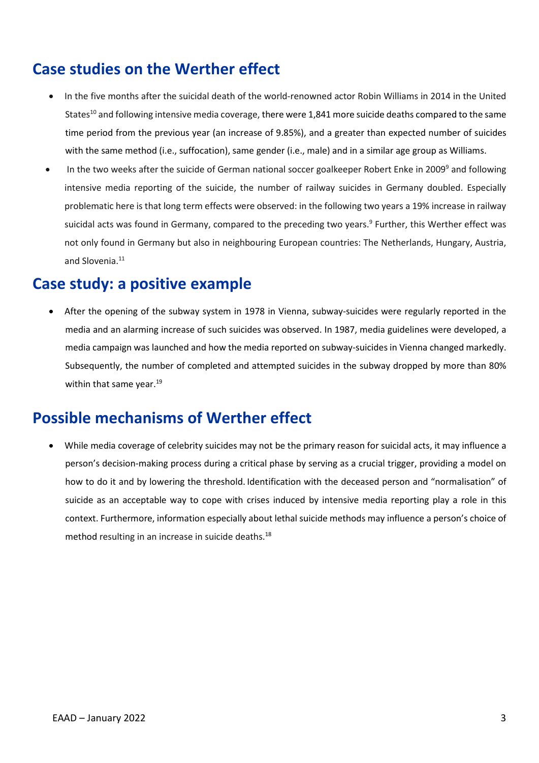## **Case studies on the Werther effect**

- In the five months after the suicidal death of the world-renowned actor Robin Williams in 2014 in the United States<sup>10</sup> and following intensive media coverage, there were 1,841 more suicide deaths compared to the same time period from the previous year (an increase of 9.85%), and a greater than expected number of suicides with the same method (i.e., suffocation), same gender (i.e., male) and in a similar age group as Williams.
- In the two weeks after the suicide of German national soccer goalkeeper Robert Enke in 2009<sup>9</sup> and following intensive media reporting of the suicide, the number of railway suicides in Germany doubled. Especially problematic here is that long term effects were observed: in the following two years a 19% increase in railway suicidal acts was found in Germany, compared to the preceding two years.<sup>9</sup> Further, this Werther effect was not only found in Germany but also in neighbouring European countries: The Netherlands, Hungary, Austria, and Slovenia. 11

#### **Case study: a positive example**

• After the opening of the subway system in 1978 in Vienna, subway-suicides were regularly reported in the media and an alarming increase of such suicides was observed. In 1987, media guidelines were developed, a media campaign was launched and how the media reported on subway-suicides in Vienna changed markedly. Subsequently, the number of completed and attempted suicides in the subway dropped by more than 80% within that same year.<sup>19</sup>

#### **Possible mechanisms of Werther effect**

• While media coverage of celebrity suicides may not be the primary reason for suicidal acts, it may influence a person's decision-making process during a critical phase by serving as a crucial trigger, providing a model on how to do it and by lowering the threshold. Identification with the deceased person and "normalisation" of suicide as an acceptable way to cope with crises induced by intensive media reporting play a role in this context. Furthermore, information especially about lethal suicide methods may influence a person's choice of method resulting in an increase in suicide deaths. 18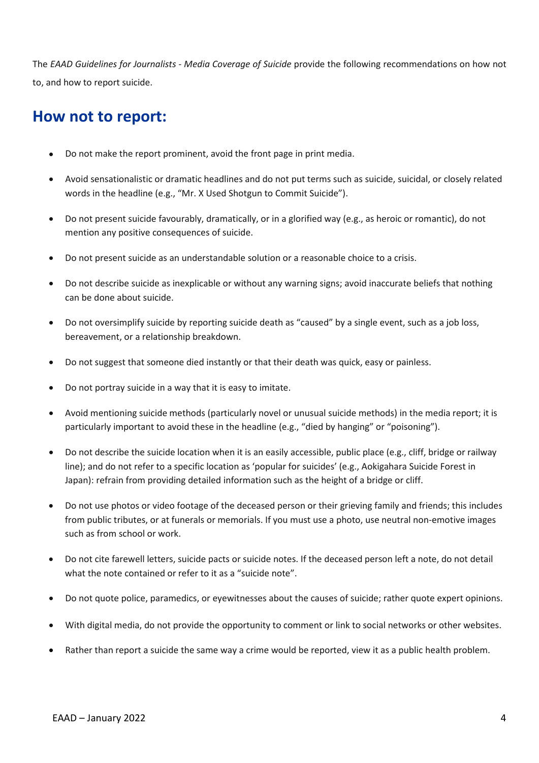The *EAAD Guidelines for Journalists - Media Coverage of Suicide* provide the following recommendations on how not to, and how to report suicide.

#### **How not to report:**

- Do not make the report prominent, avoid the front page in print media.
- Avoid sensationalistic or dramatic headlines and do not put terms such as suicide, suicidal, or closely related words in the headline (e.g., "Mr. X Used Shotgun to Commit Suicide").
- Do not present suicide favourably, dramatically, or in a glorified way (e.g., as heroic or romantic), do not mention any positive consequences of suicide.
- Do not present suicide as an understandable solution or a reasonable choice to a crisis.
- Do not describe suicide as inexplicable or without any warning signs; avoid inaccurate beliefs that nothing can be done about suicide.
- Do not oversimplify suicide by reporting suicide death as "caused" by a single event, such as a job loss, bereavement, or a relationship breakdown.
- Do not suggest that someone died instantly or that their death was quick, easy or painless.
- Do not portray suicide in a way that it is easy to imitate.
- Avoid mentioning suicide methods (particularly novel or unusual suicide methods) in the media report; it is particularly important to avoid these in the headline (e.g., "died by hanging" or "poisoning").
- Do not describe the suicide location when it is an easily accessible, public place (e.g., cliff, bridge or railway line); and do not refer to a specific location as 'popular for suicides' (e.g., Aokigahara Suicide Forest in Japan): refrain from providing detailed information such as the height of a bridge or cliff.
- Do not use photos or video footage of the deceased person or their grieving family and friends; this includes from public tributes, or at funerals or memorials. If you must use a photo, use neutral non-emotive images such as from school or work.
- Do not cite farewell letters, suicide pacts or suicide notes. If the deceased person left a note, do not detail what the note contained or refer to it as a "suicide note".
- Do not quote police, paramedics, or eyewitnesses about the causes of suicide; rather quote expert opinions.
- With digital media, do not provide the opportunity to comment or link to social networks or other websites.
- Rather than report a suicide the same way a crime would be reported, view it as a public health problem.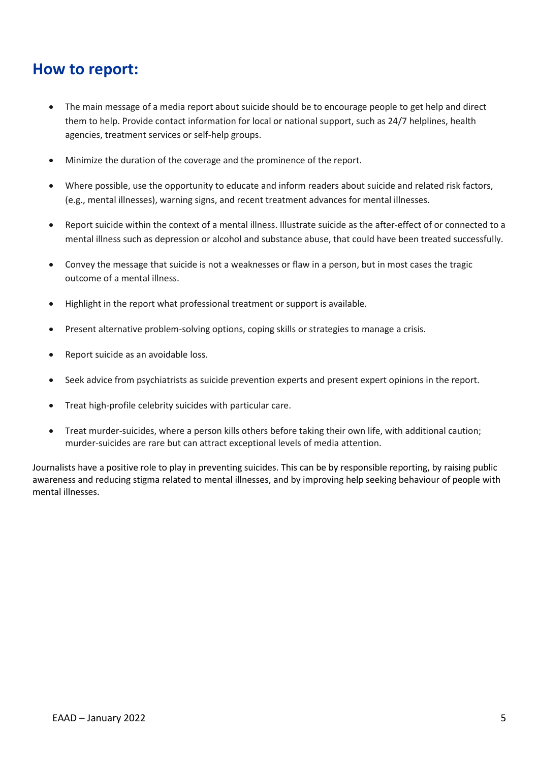### **How to report:**

- The main message of a media report about suicide should be to encourage people to get help and direct them to help. Provide contact information for local or national support, such as 24/7 helplines, health agencies, treatment services or self-help groups.
- Minimize the duration of the coverage and the prominence of the report.
- Where possible, use the opportunity to educate and inform readers about suicide and related risk factors, (e.g., mental illnesses), warning signs, and recent treatment advances for mental illnesses.
- Report suicide within the context of a mental illness. Illustrate suicide as the after-effect of or connected to a mental illness such as depression or alcohol and substance abuse, that could have been treated successfully.
- Convey the message that suicide is not a weaknesses or flaw in a person, but in most cases the tragic outcome of a mental illness.
- Highlight in the report what professional treatment or support is available.
- Present alternative problem-solving options, coping skills or strategies to manage a crisis.
- Report suicide as an avoidable loss.
- Seek advice from psychiatrists as suicide prevention experts and present expert opinions in the report.
- Treat high-profile celebrity suicides with particular care.
- Treat murder-suicides, where a person kills others before taking their own life, with additional caution; murder-suicides are rare but can attract exceptional levels of media attention.

Journalists have a positive role to play in preventing suicides. This can be by responsible reporting, by raising public awareness and reducing stigma related to mental illnesses, and by improving help seeking behaviour of people with mental illnesses.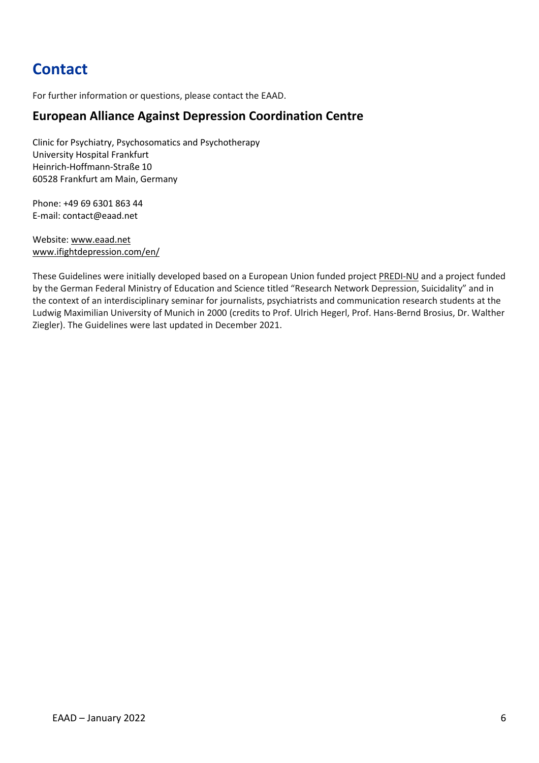# **Contact**

For further information or questions, please contact the EAAD.

#### **European Alliance Against Depression Coordination Centre**

Clinic for Psychiatry, Psychosomatics and Psychotherapy University Hospital Frankfurt Heinrich-Hoffmann-Straße 10 60528 Frankfurt am Main, Germany

Phone: +49 69 6301 863 44 E-mail: [contact@eaad.net](mailto:contact@eaad.net)

Website[: www.eaad.net](http://www.eaad.net/) [www.ifightdepression.com/en/](http://www.ifightdepression.com/en/)

These Guidelines were initially developed based on a European Union funded project [PREDI-NU](http://www.eaad.net/research/past-research-projects/predi-nu) and a project funded by the German Federal Ministry of Education and Science titled "Research Network Depression, Suicidality" and in the context of an interdisciplinary seminar for journalists, psychiatrists and communication research students at the Ludwig Maximilian University of Munich in 2000 (credits to Prof. Ulrich Hegerl, Prof. Hans-Bernd Brosius, Dr. Walther Ziegler). The Guidelines were last updated in December 2021.